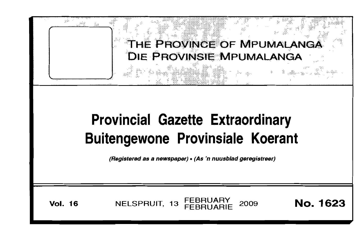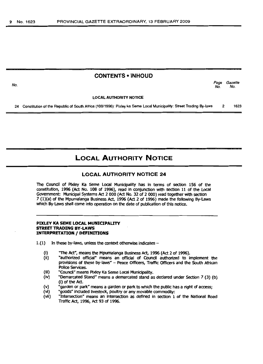# **CONTENTS • INHOUD**

Page Gazette<br>No. No. No. No.

LOCAL AUTHORITY NOTICE

24 Constitution of the Republic of South Africa (108/1996): Pixley ka Seme Local Municipality: Street Trading By-laws 2 1623

# **LOCAL AUTHORITY NOTICE**

# **LOCAL AUTHORITY NOTICE 24**

The Coundl of Pixley Ka 5eme local Munidpality has in terms of section 156 of the constitution, 1996 (Act No. 108 of 1996), read in conjunction with section 11 of the Local Government: Municipal Systems Act 2 000 (Act No. 32 of 2 000) read together with section 7 (1)(a) of the Mpumatanga Business Act, 1996 (Act 2 of 1996) made the following By-laws which By-laws shall come into operation on the date of publication of this notice.

#### **PIXLEY KA SEME LOCAL MUNICIPALITY STREET TRADING BY-LAWS INTERPRETATION / DEFINITIONS**

- $1.(1)$  In these by-laws, unless the context otherwise indicates -
	- (i) The Act", means the Mpumalanga Business Act, 1996 (Act 2 of 1996).<br>(ii) rauthorized official" means an official of Council authorized to i
	- "authorized official" means an official of Council authorized to implement the provisions of these by-laws" - Peace Officers, Traffic Officers and the South African Police Services.
	- (iii) "Council" means Pixley Ka Seme Local Municipality.<br>(iv) "Demarcated Stand" means a demarcated stand as
	- "Demarcated Stand" means a demarcated stand as declared under Section 7 (3) (b) (i) of the Act.
	- (v) "garden or park" means a garden or park to which the public has a right of access;<br>(vi) "goods" included livestock, poultry or any movable commodity:
	- (vi) "goods" included livestock, poultry or any movable commodity:<br>(vii) "Intersection" means an intersection as defined in section 1
	- "Intersection" means an intersection as defined in section 1 of the National Road Traffic Act, 1996, Act 93 of 1996.

No.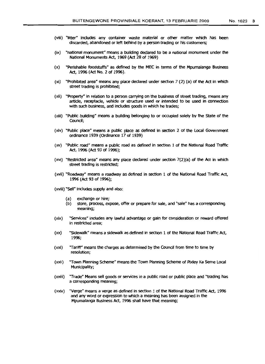- (viii) "litter" indudes any container waste material or other matter which has been discarded, abandoned or left behind by a person trading or his customers;
- (ix) "national monument" means a building declared to be a national monument under the National Monuments Act, 1969 (Act 28 of 1969)
- (x) "Perishable foodstuffs" as defined by the MEC in terms of the Mpumalanga Business Act, 1996 (Act No. 2 of 1996).
- (xi) "Prohibited area" means any place dedared under section 7 (2) (a) of the Act in which street trading is prohibited;
- (xii) "Property" in relation to a person carrying on the business of street trading, means any artide, receptacle, vehide or structure used or intended to be used in connection with such business, and includes goods in which he trades;
- (xiii) "Public building" means a building belonging to or occupied solely by the State of the Council:
- (xlv) "Public place" means a public place as defined in section 2 of the Local Government ordinance 1939 (Ordinance 17 of 1939)
- (xv) "Public road" means a public road as defined in section 1 of the National Road Traffic Act, 1996 (Act 93 of 1996);
- (xvi) "Restricted area" means any place declared under section 7(2)(a) of the Act in which street trading is restricted;
- (xvii) "Roadway" means a roadway as defined in section 1 of the National Road Traffic Act, 1996 (Act 93 of 1996);
- (xviii) "sell" includes supply and also:
	- (a) exchange or hire;
	- (b) store, process, expose, offer or prepare for sale, and "sale" has a corresponding meaning;
- (xix) "Services" includes any lawful advantage or gain for consideration or reward offered in restricted area;
- (xx) "Sidewalk" means a sidewalk as defined in section 1 of the National Road Traffic Act, 1996;
- $(xxi)$  "Tariff" means the charges as determined by the Council from time to time by resolution;
- (xxii) "Town Planning Scheme" means the Town Planning Scheme of Pixley Ka Seme Local Municipality;
- (xxiii) "Trade" Means sell goods or services in a public road or public place and ''trading has a corresponding meaning;
- (xxiv) "Verge" means a verge as defined in section 1 of the National RoadTraffic Act, 1996 and any word or expression to which a meaning has been assigned in the Mpumalanga Business Act, 1996 shall have that meaning;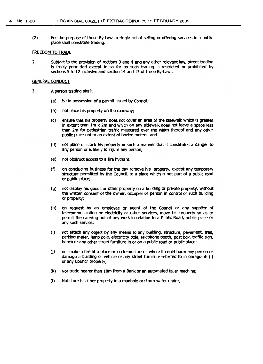(2) For the purpose of these By-Laws a single act of selling or offering services in a public place shall constitute trading.

## FREEDOM TO TRADE

2. SUbject to the provision of sections 3 and 4 and any other relevant law, street trading is freely permitted except in so far as such trading is restricted or prohibited by sections 5 to 12 inclusive and section 14 and 15 of these By-Laws.

#### GENERAL CONDUCT

- 3. A person trading shall:
	- (a) be in possession of a permit issued by Council:
	- (b) not place his property on the roadway;
	- (c) ensure that his property does not cover an area of the sidewalk which is greater in extent than 1m x 2m and which on any sidewalk does not leave a space less than 2m for pedestrian traffic measured over the width thereof and any other public place not to an extent of twelve meters; and
	- (d) not place or stack his property in such a manner that it constitutes a danger to any person or is likely to injure any person;
	- (e) not obstruct access to a fire hydrant.
	- (f) on concluding business for the day remove his property, except any temporary structure permitted by the COundl, to a place which is not part of a public road or public place;
	- (g) not display his goods or other property on a building or private property, without the written consent of the owner, occupier or person in control of such building or property;
	- (h) on request by an employee or agent of the Council or any supplier of telecommunication or electricity or other services, move his property so as to permit the carrying out of any work in relation to a Public Road, public place or any such service;
	- (i) not attach any object by any means to any building, structure, pavement, tree, parking meter, lamp pole, electricity pole, telephone booth, post box, traffic sign, bench or any other street furniture in or on a public road or public place;
	- (j) not make a fire at a place or in circumstances where It could harm any person or damage a bUilding or vehicle or any street furniture referred to in paragraph (i) or any COuncil property;
	- (k) Not trade nearer than 10m from a Bank or an automated teller machine;
	- $(\cdot)$  Not store his / her property in a manhole or storm water drain;,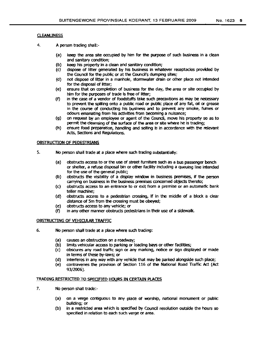# **CLEANLINESS**

- 4. A person trading shall:-
	- (a) keep the area site occupied by him for the purpose of such business in a clean and sanitary condition;
	- (b) keep his property in a dean and sanitary condition;
	- (c) dispose of litter generated by his business in whatever receptacles provided by the Council for the public or at the Council's dumping sites;
	- (d) not dispose of litter in a manhole, stormwater drain or other place not Intended for the disposal of litter;
	- (e) ensure that on completion of business for the day, the area or site occupied by him for the purposes of trade is free of litter;
	- (f) in the case of a vendor of foodstuffs take such precautions as may be necessary to prevent the spilling onto a public road or public place of any fat, oil or grease in the course of conducting his business and to prevent any smoke, fumes or odours emanating from his activities from becoming a nuisance;
	- (g) on request by an employee or agent of the CoUncil, move his property so as to permit the deansing of the surface of the area or site where he is trading;
	- (h) ensure food preparation, handling and selling is in accordance with the relevant Acts, Sections and Regulations.

# OBSTRUCTION OF PEDESTRIANS

- 5. No person shall trade at a place where such trading substantially:
	- (a) obstructs access to or the use of street furniture such as a bus passenger bench or shelter, a refuse disposal bin or other facility including a queuing line intended for the use of the general public;
	- (b) obstructs the visibility of a display window in business premises, if the person carrying on business in the business premises concerned objects thereto;
	- (c) obstructs access to an entrance to or exit from a premise or an automattc bank teller machine;
	- (d) obstructs access to a pedestrian crossing, if in the middle of a block a clear distance of 5m from the crossing must be obeyed;
	- (e) obstructs access to any vehicle; or
	- (f) in any other manner obstructs pedestrians in their use of a sidewalk,

# OBSTRUCTING OF VEHICULAR TRAFFIC

- 6. No person shall trade at a place where such trading:
	- (a) causes an obstruction on a roadway;
	- (b) limits vehicular access to parking or loading bays or other facilities;
	- (c) obscures any road traffic sign or any marking, notice or sign displayed or made in terms of these by-laws; or
	- (d) interferes in any way with any vehicle that may be parked alongside such place;
	- (e) contravenes the provision of section 116 of the National Road TraffIC Act (Act 93/2006).

#### TRADING RESTRICTED TO SPECIFIED HOURS IN CERTAIN PLACES

- 7. No person shall trade:-
	- (a) on a verge contiguous to any place of worship, national monument or public building; or
	- (b) in a restricted area which is specified by Council resolution outside the hours so specified in relation to each such verge or area.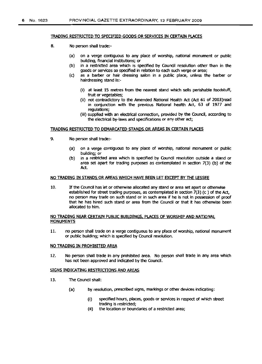#### TRADING RESTRICTED TO SPECIFIED GOODS OR SERVICES IN CERTAIN PLACES

- 8. No personshall trade:-
	- (a) on a verge contiguous to any place of worship, national monument or public building, financial institutions; or
	- (b) in a restricted area which is specified by Council resolution other than in the goods or services so specified in relation to each such verge or area;
	- (c) as a barber or hair dressing salon in a public place, unless the barber or hairdressing stand is:-
		- (i) at least 15 metres from the nearest stand which sells perishable foodstuff, fruit or vegetables;
		- (ii) not contradictory to the Amended National Health Act (Act 61 of 2003)read in conjunction with the previous National health Act, 63 of 1977 and regulations;
		- (iii) supplied with an electrical connection, provided by the Council, according to the electrical by-laws and specifications or any other act;

# TRADING RESTRICTED TO DEMARCATED STANDS OR AREAS IN CERTAIN PLACES

- 9. No person shall trade:-
	- (a) on a verge contiguous to any place of worship, national monument or public building; or
	- (b) in a restricted area which is specified by Council resolution outside a stand or area set apart for trading purposes as contemplated in section 7(3) (b) of the Act.

#### NO TRADING IN STANDS OR AREAS WHICH HAVE BEEN LET EXCEPT BY THE LESSEE

10. If the Council has let or otherwise allocated any stand or area set apart or otherwise established for street trading purposes, as contemplated in section 7(3) (c) of the Act, no person may trade on such stand or in such area if he is not in possession of proof that he has hired such stand or area from the Council or that it has otherwise been allocated to him.

# NOTRADING NEAR CERTAIN PUBUC BUILDINGS, PLACES OF WORSHIP AND NATIONAL **MONUMENTS**

11. no person shall trade on a verge contiguous to any place of worship, national monument or public building; which is specified by Council resolution.

# NOTRADING IN PROHIBITED AREA

12. No person shall trade in any prohibited area. No person shall trade in any area which has not been approved and indicated by the Council.

#### SIGNS INDICATING RESTRICTIONS AND AREAS

- 13. The Council shall:
	- (a) by resolution, prescribed signs, markings or other devices indicating:
		- (i) specified hours, places, goods or services in respect of which street trading is restricted;
		- (ii) the location or boundaries of a restricted area;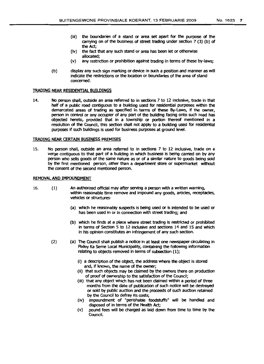- the Act; (iv) the fact that any such stand or area has been let or otherwise allocated;
- (v) any restriction or prohibition against trading in terms of these by-laws;
- (b) display any such sign marking or device in such a position and manner as will indicate the restrictions or the location or boundaries of the area of stand concerned.

# TRADING NEAR RESIDENTIAL BUILDINGS

14. No person shall, outside an area referred to in sections 7 to 12 inclusive, trade in that half of a public road contiguous to a building used for residential purposes within the demarcated areas of trading as specified in terms of these By-laws, if the owner, person in control or any occupier of any part of the building facing onto such road has objected hereto, provided that in a township or portion thereof mentioned in a resolution of the Coundl, this section shall not apply to a building used for residential purposes if such buildings is used for business purposes at ground level.

### TRADING NEAR CERTAIN BUSINESS PREMISES

15. No person shall, outside an area referred to in sections 7 to 12 inclusive, trade on a verge contiguous to that part of a building in which business is being carried on by any person who sells goods of the same nature as or of a similar nature to goods being sold by the first mentioned person, other than a department store or supermarket without the consent of the second mentioned person.

#### REMOVAL AND IMPOUNDMENT

- 16. (1) An authorized official may after serving a person with a written warning, within reasonable time remove and impound any goods, artides, receptacles, vehides or structures-
	- (a) which he reasonably suspects is being used or is intended to be used or has been used in or in connection with street trading; and
	- (b) which he finds at a place where street trading is restricted or prohibited in terms of Section 5 to 12 Inclusive and sections 14 and 15 and which in his opinion constitutes an infringement of any such section.
	- (2) (a) The Coundl shall publish a notice in at least one newspaper drculating in Pixley Ka Seme Local Municipality, containing the following information relating to objects removed in terms of subsection (1);
		- (i) a description of the object, the address where the object is stored and, if known, the name of the owner;
		- (ii) that such objects may be daimed by the owners there on production of proof of ownership to the satisfaction of the Council;
		- (iii) that any object which has not been claimed within a period of three months from the date of publication of such notice will be destroyed or sold by public auction and the proceeds of such auction retained by the Council to defray its costs;
		- (iv) impoundment of "perishable foodstuffs" will be handled and disposed of in terms of the Health Act;
		- (v) pound fees will be charged as laid down from time to time by the Council.